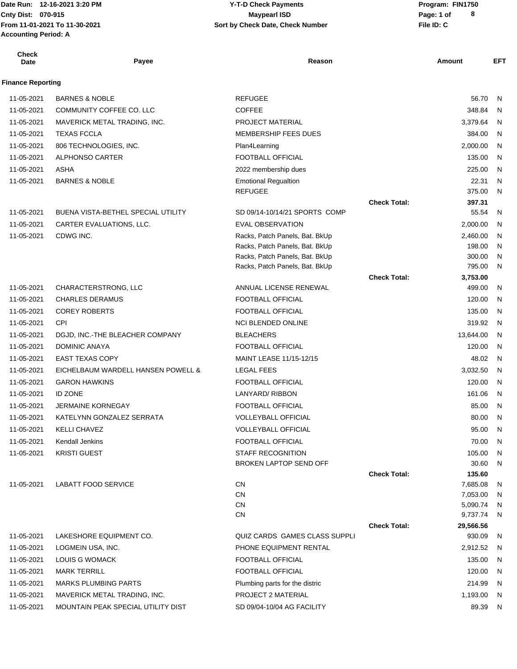Date Run: 12-16-2021 3:20 PM **Program:** FIN1750 **Accounting Period: A**

### **Cnty Dist:** 070-915 **Page:** 1 of **From 11-01-2021 To 11-30-2021 File ID: C Sort by Check Date, Check Number 12-16-2021 3:20 PM Y-T-D Check Payments 070-915 Maypearl ISD**

| <b>Check</b><br><b>Date</b> | Payee                                      | Reason                                                    |                     | Amount             | <b>EFT</b>   |
|-----------------------------|--------------------------------------------|-----------------------------------------------------------|---------------------|--------------------|--------------|
| <b>Finance Reporting</b>    |                                            |                                                           |                     |                    |              |
| 11-05-2021                  | <b>BARNES &amp; NOBLE</b>                  | <b>REFUGEE</b>                                            |                     | 56.70              | N            |
| 11-05-2021                  | COMMUNITY COFFEE CO. LLC                   | <b>COFFEE</b>                                             |                     | 348.84             | $\mathsf{N}$ |
| 11-05-2021                  | MAVERICK METAL TRADING, INC.               | PROJECT MATERIAL                                          |                     | 3,379.64           | N            |
| 11-05-2021                  | <b>TEXAS FCCLA</b>                         | MEMBERSHIP FEES DUES                                      |                     | 384.00             | - N          |
| 11-05-2021                  | 806 TECHNOLOGIES, INC.                     | Plan4Learning                                             |                     | 2,000.00           | $\mathsf{N}$ |
| 11-05-2021                  | <b>ALPHONSO CARTER</b>                     | FOOTBALL OFFICIAL                                         |                     | 135.00             | N            |
| 11-05-2021                  | ASHA                                       | 2022 membership dues                                      |                     | 225.00             | N            |
| 11-05-2021                  | <b>BARNES &amp; NOBLE</b>                  | <b>Emotional Regualtion</b>                               |                     | 22.31              | $\mathsf{N}$ |
|                             |                                            | <b>REFUGEE</b>                                            |                     | 375.00             | $\mathsf{N}$ |
|                             |                                            |                                                           | <b>Check Total:</b> | 397.31             |              |
| 11-05-2021                  | <b>BUENA VISTA-BETHEL SPECIAL UTILITY</b>  | SD 09/14-10/14/21 SPORTS COMP                             |                     | 55.54              | N            |
| 11-05-2021                  | CARTER EVALUATIONS, LLC.                   | <b>EVAL OBSERVATION</b>                                   |                     | 2,000.00           | N            |
| 11-05-2021                  | CDWG INC.                                  | Racks, Patch Panels, Bat. BkUp                            |                     | 2,460.00           | N            |
|                             |                                            | Racks, Patch Panels, Bat. BkUp                            |                     | 198.00             | N            |
|                             |                                            | Racks, Patch Panels, Bat. BkUp                            |                     | 300.00             | N            |
|                             |                                            | Racks, Patch Panels, Bat. BkUp                            |                     | 795.00             | N.           |
| 11-05-2021                  | CHARACTERSTRONG, LLC                       | ANNUAL LICENSE RENEWAL                                    | <b>Check Total:</b> | 3,753.00<br>499.00 | N            |
| 11-05-2021                  | <b>CHARLES DERAMUS</b>                     | FOOTBALL OFFICIAL                                         |                     | 120.00             | N            |
| 11-05-2021                  | <b>COREY ROBERTS</b>                       | FOOTBALL OFFICIAL                                         |                     | 135.00             | N.           |
| 11-05-2021                  | CPI                                        | <b>NCI BLENDED ONLINE</b>                                 |                     | 319.92             | - N          |
| 11-05-2021                  | DGJD, INC.-THE BLEACHER COMPANY            | <b>BLEACHERS</b>                                          |                     | 13,644.00          | N            |
| 11-05-2021                  | <b>DOMINIC ANAYA</b>                       | FOOTBALL OFFICIAL                                         |                     | 120.00             | - N          |
| 11-05-2021                  | <b>EAST TEXAS COPY</b>                     | MAINT LEASE 11/15-12/15                                   |                     | 48.02              | - N          |
| 11-05-2021                  | EICHELBAUM WARDELL HANSEN POWELL &         | <b>LEGAL FEES</b>                                         |                     | 3,032.50           | N            |
| 11-05-2021                  | <b>GARON HAWKINS</b>                       | FOOTBALL OFFICIAL                                         |                     | 120.00             |              |
|                             |                                            |                                                           |                     |                    | - N          |
| 11-05-2021                  | <b>ID ZONE</b><br><b>JERMAINE KORNEGAY</b> | <b>LANYARD/ RIBBON</b><br><b>FOOTBALL OFFICIAL</b>        |                     | 161.06             | $\mathsf{N}$ |
| 11-05-2021                  |                                            |                                                           |                     | 85.00              | - N          |
| 11-05-2021                  | KATELYNN GONZALEZ SERRATA                  | <b>VOLLEYBALL OFFICIAL</b>                                |                     | 80.00              | N            |
| 11-05-2021                  | <b>KELLI CHAVEZ</b>                        | VOLLEYBALL OFFICIAL                                       |                     | 95.00              | N            |
| 11-05-2021                  | Kendall Jenkins                            | FOOTBALL OFFICIAL                                         |                     | 70.00              | N.           |
| 11-05-2021                  | <b>KRISTI GUEST</b>                        | <b>STAFF RECOGNITION</b><br><b>BROKEN LAPTOP SEND OFF</b> |                     | 105.00<br>30.60    | N,<br>N,     |
|                             |                                            |                                                           | <b>Check Total:</b> | 135.60             |              |
| 11-05-2021                  | <b>LABATT FOOD SERVICE</b>                 | CN                                                        |                     | 7,685.08           | N,           |
|                             |                                            | <b>CN</b>                                                 |                     | 7,053.00           | N,           |
|                             |                                            | CN                                                        |                     | 5,090.74           | N            |
|                             |                                            | CN                                                        |                     | 9,737.74 N         |              |
|                             |                                            |                                                           | <b>Check Total:</b> | 29,566.56          |              |
| 11-05-2021                  | LAKESHORE EQUIPMENT CO.                    | QUIZ CARDS GAMES CLASS SUPPLI                             |                     | 930.09             | - N          |
| 11-05-2021                  | LOGMEIN USA, INC.                          | PHONE EQUIPMENT RENTAL                                    |                     | 2,912.52 N         |              |
| 11-05-2021                  | LOUIS G WOMACK                             | FOOTBALL OFFICIAL                                         |                     | 135.00             | N            |
| 11-05-2021                  | <b>MARK TERRILL</b>                        | FOOTBALL OFFICIAL                                         |                     | 120.00             | N,           |
| 11-05-2021                  | <b>MARKS PLUMBING PARTS</b>                | Plumbing parts for the distric                            |                     | 214.99 N           |              |
| 11-05-2021                  | MAVERICK METAL TRADING, INC.               | PROJECT 2 MATERIAL                                        |                     | 1,193.00 N         |              |
| 11-05-2021                  | MOUNTAIN PEAK SPECIAL UTILITY DIST         | SD 09/04-10/04 AG FACILITY                                |                     | 89.39 N            |              |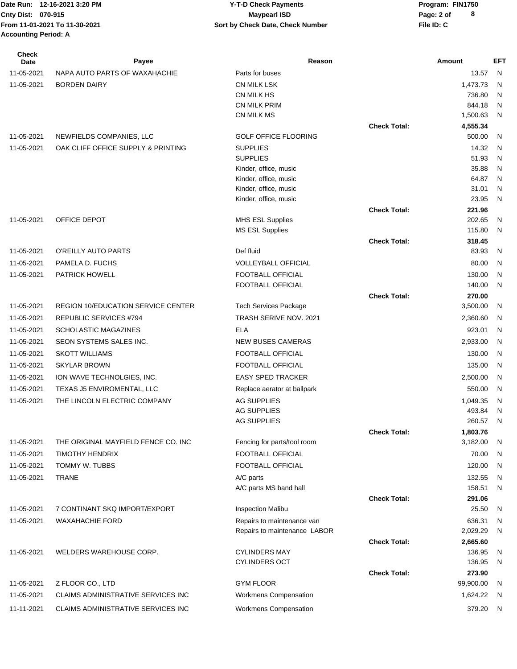| Check<br><b>Date</b> | Payee                                     | Reason                                         |                     | Amount             | <b>EFT</b>   |
|----------------------|-------------------------------------------|------------------------------------------------|---------------------|--------------------|--------------|
| 11-05-2021           | NAPA AUTO PARTS OF WAXAHACHIE             | Parts for buses                                |                     | 13.57              | N            |
| 11-05-2021           | <b>BORDEN DAIRY</b>                       | <b>CN MILK LSK</b>                             |                     | 1,473.73           | $\mathsf{N}$ |
|                      |                                           | CN MILK HS                                     |                     | 736.80             | $\mathsf{N}$ |
|                      |                                           | CN MILK PRIM                                   |                     | 844.18             | N            |
|                      |                                           | CN MILK MS                                     |                     | 1,500.63           | N            |
|                      |                                           |                                                | <b>Check Total:</b> | 4,555.34           |              |
| 11-05-2021           | NEWFIELDS COMPANIES, LLC                  | <b>GOLF OFFICE FLOORING</b>                    |                     | 500.00             | N            |
| 11-05-2021           | OAK CLIFF OFFICE SUPPLY & PRINTING        | <b>SUPPLIES</b>                                |                     | 14.32              | N            |
|                      |                                           | <b>SUPPLIES</b>                                |                     | 51.93<br>35.88     | N<br>N       |
|                      |                                           | Kinder, office, music<br>Kinder, office, music |                     | 64.87              | N            |
|                      |                                           | Kinder, office, music                          |                     | 31.01              | N            |
|                      |                                           | Kinder, office, music                          |                     | 23.95              | N            |
|                      |                                           |                                                | <b>Check Total:</b> | 221.96             |              |
| 11-05-2021           | OFFICE DEPOT                              | <b>MHS ESL Supplies</b>                        |                     | 202.65             | N            |
|                      |                                           | <b>MS ESL Supplies</b>                         |                     | 115.80             | N            |
|                      |                                           |                                                | <b>Check Total:</b> | 318.45             |              |
| 11-05-2021           | O'REILLY AUTO PARTS                       | Def fluid                                      |                     | 83.93              | N            |
| 11-05-2021           | PAMELA D. FUCHS                           | <b>VOLLEYBALL OFFICIAL</b>                     |                     | 80.00              | N            |
| 11-05-2021           | <b>PATRICK HOWELL</b>                     | FOOTBALL OFFICIAL                              |                     | 130.00             | N            |
|                      |                                           | FOOTBALL OFFICIAL                              |                     | 140.00             | N            |
|                      |                                           |                                                | <b>Check Total:</b> | 270.00             |              |
| 11-05-2021           | <b>REGION 10/EDUCATION SERVICE CENTER</b> | <b>Tech Services Package</b>                   |                     | 3,500.00           | N            |
| 11-05-2021           | REPUBLIC SERVICES #794                    | TRASH SERIVE NOV. 2021                         |                     | 2,360.60           | N            |
| 11-05-2021           | <b>SCHOLASTIC MAGAZINES</b>               | <b>ELA</b>                                     |                     | 923.01             | N            |
| 11-05-2021           | SEON SYSTEMS SALES INC.                   | <b>NEW BUSES CAMERAS</b>                       |                     | 2,933.00           | N            |
| 11-05-2021           | <b>SKOTT WILLIAMS</b>                     | FOOTBALL OFFICIAL                              |                     | 130.00             | N            |
| 11-05-2021           | <b>SKYLAR BROWN</b>                       | FOOTBALL OFFICIAL                              |                     | 135.00             | N            |
| 11-05-2021           | ION WAVE TECHNOLGIES, INC.                | <b>EASY SPED TRACKER</b>                       |                     | 2,500.00           | N            |
| 11-05-2021           | TEXAS J5 ENVIROMENTAL, LLC                | Replace aerator at ballpark                    |                     | 550.00             | N            |
| 11-05-2021           | THE LINCOLN ELECTRIC COMPANY              | AG SUPPLIES                                    |                     | 1,049.35           | N            |
|                      |                                           | AG SUPPLIES                                    |                     | 493.84             | N            |
|                      |                                           | AG SUPPLIES                                    |                     | 260.57             | - N          |
|                      |                                           |                                                | <b>Check Total:</b> | 1,803.76           |              |
| 11-05-2021           | THE ORIGINAL MAYFIELD FENCE CO. INC       | Fencing for parts/tool room                    |                     | 3,182.00           | N            |
| 11-05-2021           | <b>TIMOTHY HENDRIX</b>                    | FOOTBALL OFFICIAL                              |                     | 70.00              | N            |
| 11-05-2021           | TOMMY W. TUBBS                            | FOOTBALL OFFICIAL                              |                     | 120.00             | N            |
| 11-05-2021           | TRANE                                     | A/C parts                                      |                     | 132.55             | N            |
|                      |                                           | A/C parts MS band hall                         |                     | 158.51             | N            |
|                      |                                           |                                                | <b>Check Total:</b> | 291.06             |              |
| 11-05-2021           | 7 CONTINANT SKQ IMPORT/EXPORT             | <b>Inspection Malibu</b>                       |                     | 25.50              | $\mathsf{N}$ |
| 11-05-2021           | <b>WAXAHACHIE FORD</b>                    | Repairs to maintenance van                     |                     | 636.31             | $\mathsf{N}$ |
|                      |                                           | Repairs to maintenance LABOR                   |                     | 2,029.29           | $\mathsf{N}$ |
| 11-05-2021           | WELDERS WAREHOUSE CORP.                   | <b>CYLINDERS MAY</b>                           | <b>Check Total:</b> | 2,665.60<br>136.95 | $\mathsf{N}$ |
|                      |                                           | <b>CYLINDERS OCT</b>                           |                     | 136.95             | $\mathsf{N}$ |
|                      |                                           |                                                | <b>Check Total:</b> | 273.90             |              |
| 11-05-2021           | Z FLOOR CO., LTD                          | <b>GYM FLOOR</b>                               |                     | 99,900.00          | N            |
| 11-05-2021           | CLAIMS ADMINISTRATIVE SERVICES INC        | Workmens Compensation                          |                     | 1,624.22           | N,           |
| 11-11-2021           | CLAIMS ADMINISTRATIVE SERVICES INC        | Workmens Compensation                          |                     | 379.20 N           |              |
|                      |                                           |                                                |                     |                    |              |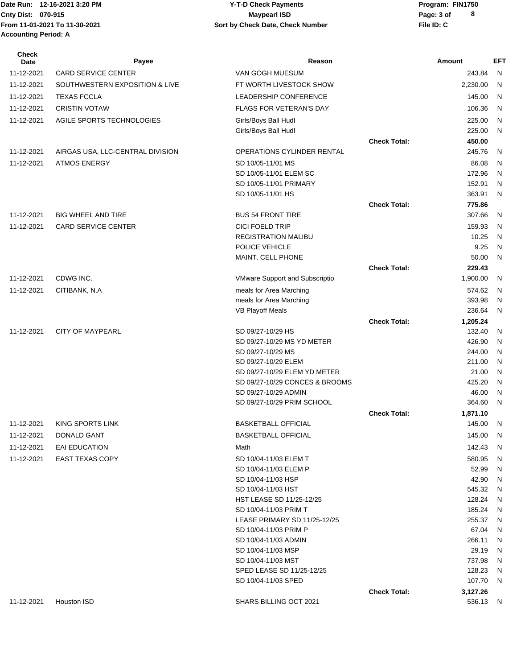#### Date Run: 12-16-2021 3:20 PM **Program:** FIN1750 **Cnty Dist:** 070-915 **Page: 3 of Page: 3 of MaypearI ISD 12-16-2021 3:20 PM Y-T-D Check Payments 070-915 Maypearl ISD**

| <b>Check</b><br>Date | Payee                            | Reason                                   |                     | Amount               | <b>EFT</b>   |
|----------------------|----------------------------------|------------------------------------------|---------------------|----------------------|--------------|
| 11-12-2021           | <b>CARD SERVICE CENTER</b>       | VAN GOGH MUESUM                          |                     | 243.84               | N            |
| 11-12-2021           | SOUTHWESTERN EXPOSITION & LIVE   | FT WORTH LIVESTOCK SHOW                  |                     | 2,230.00             | N            |
| 11-12-2021           | <b>TEXAS FCCLA</b>               | LEADERSHIP CONFERENCE                    |                     | 145.00               | N            |
| 11-12-2021           | <b>CRISTIN VOTAW</b>             | <b>FLAGS FOR VETERAN'S DAY</b>           |                     | 106.36               | N            |
| 11-12-2021           | AGILE SPORTS TECHNOLOGIES        | Girls/Boys Ball Hudl                     |                     | 225.00               | N            |
|                      |                                  | Girls/Boys Ball Hudl                     |                     | 225.00               | N            |
|                      |                                  |                                          | <b>Check Total:</b> | 450.00               |              |
| 11-12-2021           | AIRGAS USA, LLC-CENTRAL DIVISION | OPERATIONS CYLINDER RENTAL               |                     | 245.76               | N            |
| 11-12-2021           | <b>ATMOS ENERGY</b>              | SD 10/05-11/01 MS                        |                     | 86.08                | N            |
|                      |                                  | SD 10/05-11/01 ELEM SC                   |                     | 172.96               | N            |
|                      |                                  | SD 10/05-11/01 PRIMARY                   |                     | 152.91               | N            |
|                      |                                  | SD 10/05-11/01 HS                        |                     | 363.91               | N            |
|                      |                                  |                                          | <b>Check Total:</b> | 775.86               |              |
| 11-12-2021           | <b>BIG WHEEL AND TIRE</b>        | <b>BUS 54 FRONT TIRE</b>                 |                     | 307.66               | N            |
| 11-12-2021           | <b>CARD SERVICE CENTER</b>       | <b>CICI FOELD TRIP</b>                   |                     | 159.93               | N            |
|                      |                                  | <b>REGISTRATION MALIBU</b>               |                     | 10.25                | N            |
|                      |                                  | POLICE VEHICLE                           |                     | 9.25                 | N            |
|                      |                                  | MAINT. CELL PHONE                        |                     | 50.00                | N            |
|                      |                                  |                                          | <b>Check Total:</b> | 229.43               |              |
| 11-12-2021           | CDWG INC.                        | <b>VMware Support and Subscriptio</b>    |                     | 1,900.00             | N            |
| 11-12-2021           | CITIBANK, N.A                    | meals for Area Marching                  |                     | 574.62               | N            |
|                      |                                  | meals for Area Marching                  |                     | 393.98               | N            |
|                      |                                  | <b>VB Playoff Meals</b>                  |                     | 236.64               | N            |
|                      |                                  |                                          | <b>Check Total:</b> | 1,205.24             |              |
| 11-12-2021           | <b>CITY OF MAYPEARL</b>          | SD 09/27-10/29 HS                        |                     | 132.40               | N            |
|                      |                                  | SD 09/27-10/29 MS YD METER               |                     | 426.90               | N            |
|                      |                                  | SD 09/27-10/29 MS<br>SD 09/27-10/29 ELEM |                     | 244.00<br>211.00     | N<br>N       |
|                      |                                  | SD 09/27-10/29 ELEM YD METER             |                     | 21.00                | N            |
|                      |                                  | SD 09/27-10/29 CONCES & BROOMS           |                     | 425.20               | N            |
|                      |                                  | SD 09/27-10/29 ADMIN                     |                     | 46.00                | N            |
|                      |                                  | SD 09/27-10/29 PRIM SCHOOL               |                     | 364.60               | N            |
|                      |                                  |                                          | <b>Check Total:</b> | 1,871.10             |              |
| 11-12-2021           | <b>KING SPORTS LINK</b>          | <b>BASKETBALL OFFICIAL</b>               |                     | 145.00               | N            |
| 11-12-2021           | DONALD GANT                      | <b>BASKETBALL OFFICIAL</b>               |                     | 145.00               | N            |
| 11-12-2021           | EAI EDUCATION                    | Math                                     |                     | 142.43               | N            |
| 11-12-2021           | <b>EAST TEXAS COPY</b>           | SD 10/04-11/03 ELEM T                    |                     | 580.95               | N            |
|                      |                                  | SD 10/04-11/03 ELEM P                    |                     | 52.99                | N            |
|                      |                                  | SD 10/04-11/03 HSP                       |                     | 42.90                | N            |
|                      |                                  | SD 10/04-11/03 HST                       |                     | 545.32               | N            |
|                      |                                  | HST LEASE SD 11/25-12/25                 |                     | 128.24               | $\mathsf{N}$ |
|                      |                                  | SD 10/04-11/03 PRIM T                    |                     | 185.24               | $\mathsf{N}$ |
|                      |                                  | LEASE PRIMARY SD 11/25-12/25             |                     | 255.37               | $\mathsf{N}$ |
|                      |                                  | SD 10/04-11/03 PRIM P                    |                     | 67.04                | N            |
|                      |                                  | SD 10/04-11/03 ADMIN                     |                     | 266.11               | N            |
|                      |                                  | SD 10/04-11/03 MSP                       |                     | 29.19                | $\mathsf{N}$ |
|                      |                                  | SD 10/04-11/03 MST                       |                     | 737.98               | N            |
|                      |                                  | SPED LEASE SD 11/25-12/25                |                     | 128.23<br>107.70     | N<br>N       |
|                      |                                  | SD 10/04-11/03 SPED                      |                     |                      |              |
| 11-12-2021           | Houston ISD                      | SHARS BILLING OCT 2021                   | <b>Check Total:</b> | 3,127.26<br>536.13 N |              |
|                      |                                  |                                          |                     |                      |              |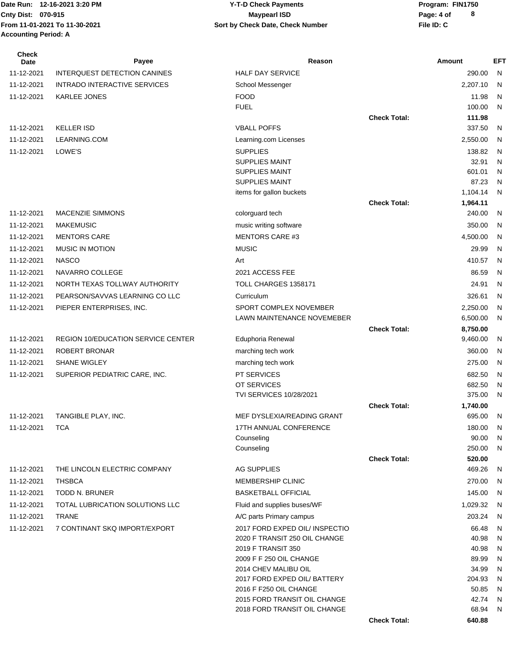| Check<br>Date | Payee                                  | Reason                                            |                     | Amount             | <b>EFT</b>   |
|---------------|----------------------------------------|---------------------------------------------------|---------------------|--------------------|--------------|
| 11-12-2021    | INTERQUEST DETECTION CANINES           | <b>HALF DAY SERVICE</b>                           |                     | 290.00             | N            |
| 11-12-2021    | INTRADO INTERACTIVE SERVICES           | School Messenger                                  |                     | 2,207.10           | N            |
| 11-12-2021    | <b>KARLEE JONES</b>                    | <b>FOOD</b>                                       |                     | 11.98              | N            |
|               |                                        | <b>FUEL</b>                                       |                     | 100.00             | N            |
|               |                                        |                                                   | <b>Check Total:</b> | 111.98             |              |
| 11-12-2021    | <b>KELLER ISD</b>                      | <b>VBALL POFFS</b>                                |                     | 337.50             | N            |
| 11-12-2021    | LEARNING.COM                           | Learning.com Licenses                             |                     | 2,550.00           | N            |
| 11-12-2021    | LOWE'S                                 | <b>SUPPLIES</b>                                   |                     | 138.82             | N            |
|               |                                        | <b>SUPPLIES MAINT</b>                             |                     | 32.91              | $\mathsf{N}$ |
|               |                                        | <b>SUPPLIES MAINT</b>                             |                     | 601.01             | N            |
|               |                                        | <b>SUPPLIES MAINT</b><br>items for gallon buckets |                     | 87.23<br>1,104.14  | N<br>N       |
|               |                                        |                                                   | <b>Check Total:</b> | 1,964.11           |              |
| 11-12-2021    | <b>MACENZIE SIMMONS</b>                | colorguard tech                                   |                     | 240.00             | N            |
| 11-12-2021    | <b>MAKEMUSIC</b>                       | music writing software                            |                     | 350.00             | N            |
| 11-12-2021    | <b>MENTORS CARE</b>                    | <b>MENTORS CARE #3</b>                            |                     | 4,500.00           | N            |
| 11-12-2021    | <b>MUSIC IN MOTION</b>                 | <b>MUSIC</b>                                      |                     | 29.99              | N            |
| 11-12-2021    | <b>NASCO</b>                           | Art                                               |                     | 410.57             | N            |
| 11-12-2021    | NAVARRO COLLEGE                        | 2021 ACCESS FEE                                   |                     | 86.59              | N            |
| 11-12-2021    | NORTH TEXAS TOLLWAY AUTHORITY          | TOLL CHARGES 1358171                              |                     | 24.91              | N            |
| 11-12-2021    | PEARSON/SAVVAS LEARNING CO LLC         | Curriculum                                        |                     | 326.61             | N            |
| 11-12-2021    | PIEPER ENTERPRISES, INC.               | SPORT COMPLEX NOVEMBER                            |                     | 2,250.00           | N            |
|               |                                        | LAWN MAINTENANCE NOVEMEBER                        |                     | 6,500.00           | N            |
|               |                                        |                                                   | <b>Check Total:</b> | 8,750.00           |              |
| 11-12-2021    | REGION 10/EDUCATION SERVICE CENTER     | Eduphoria Renewal                                 |                     | 9,460.00           | N            |
| 11-12-2021    | <b>ROBERT BRONAR</b>                   | marching tech work                                |                     | 360.00             | N            |
| 11-12-2021    | <b>SHANE WIGLEY</b>                    | marching tech work                                |                     | 275.00             | N            |
| 11-12-2021    | SUPERIOR PEDIATRIC CARE, INC.          | PT SERVICES                                       |                     | 682.50             | N            |
|               |                                        | OT SERVICES                                       |                     | 682.50             | N            |
|               |                                        | TVI SERVICES 10/28/2021                           |                     | 375.00             | N            |
| 11-12-2021    | TANGIBLE PLAY, INC.                    | MEF DYSLEXIA/READING GRANT                        | <b>Check Total:</b> | 1,740.00<br>695.00 | N            |
| 11-12-2021    | <b>TCA</b>                             | 17TH ANNUAL CONFERENCE                            |                     | 180.00             | N            |
|               |                                        | Counseling                                        |                     | 90.00              | N            |
|               |                                        | Counseling                                        |                     | 250.00             | N            |
|               |                                        |                                                   | <b>Check Total:</b> | 520.00             |              |
| 11-12-2021    | THE LINCOLN ELECTRIC COMPANY           | <b>AG SUPPLIES</b>                                |                     | 469.26             | N            |
| 11-12-2021    | <b>THSBCA</b>                          | <b>MEMBERSHIP CLINIC</b>                          |                     | 270.00             | N            |
| 11-12-2021    | <b>TODD N. BRUNER</b>                  | <b>BASKETBALL OFFICIAL</b>                        |                     | 145.00             | N            |
| 11-12-2021    | <b>TOTAL LUBRICATION SOLUTIONS LLC</b> | Fluid and supplies buses/WF                       |                     | 1,029.32           | N            |
| 11-12-2021    | <b>TRANE</b>                           | A/C parts Primary campus                          |                     | 203.24             | N            |
| 11-12-2021    | 7 CONTINANT SKQ IMPORT/EXPORT          | 2017 FORD EXPED OIL/ INSPECTIO                    |                     | 66.48              | N            |
|               |                                        | 2020 F TRANSIT 250 OIL CHANGE                     |                     | 40.98              | N            |
|               |                                        | 2019 F TRANSIT 350<br>2009 F F 250 OIL CHANGE     |                     | 40.98<br>89.99     | N<br>N       |
|               |                                        | 2014 CHEV MALIBU OIL                              |                     | 34.99              | N            |
|               |                                        | 2017 FORD EXPED OIL/ BATTERY                      |                     | 204.93             | N            |
|               |                                        | 2016 F F250 OIL CHANGE                            |                     | 50.85              | N            |
|               |                                        | 2015 FORD TRANSIT OIL CHANGE                      |                     | 42.74              | N            |
|               |                                        | 2018 FORD TRANSIT OIL CHANGE                      |                     | 68.94              | N            |
|               |                                        |                                                   | <b>Check Total:</b> | 640.88             |              |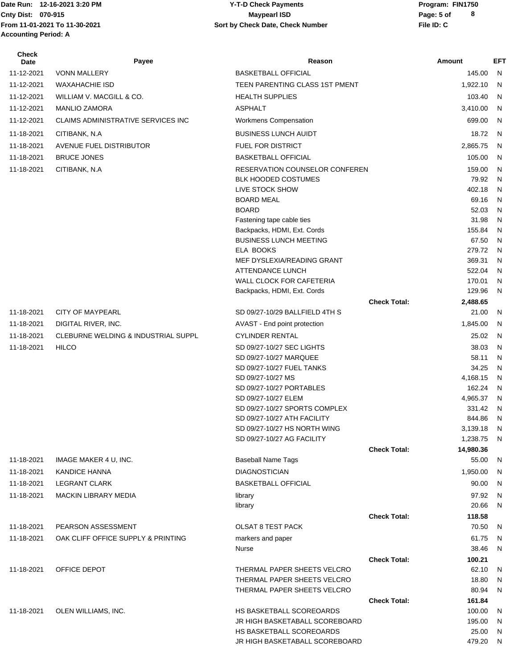### Date Run: 12-16-2021 3:20 PM **Program:** FIN1750 **Cnty Dist:** 070-915 **Page:** 5 of **12-16-2021 3:20 PM Y-T-D Check Payments 070-915 Maypearl ISD**

| <b>Check</b><br>Date | Payee                               | Reason                                               |                     | Amount             | EFT    |
|----------------------|-------------------------------------|------------------------------------------------------|---------------------|--------------------|--------|
| 11-12-2021           | <b>VONN MALLERY</b>                 | <b>BASKETBALL OFFICIAL</b>                           |                     | 145.00             | N.     |
| 11-12-2021           | <b>WAXAHACHIE ISD</b>               | TEEN PARENTING CLASS 1ST PMENT                       |                     | 1,922.10           | N      |
| 11-12-2021           | WILLIAM V. MACGILL & CO.            | <b>HEALTH SUPPLIES</b>                               |                     | 103.40             | N      |
| 11-12-2021           | <b>MANLIO ZAMORA</b>                | <b>ASPHALT</b>                                       |                     | 3,410.00           | N      |
| 11-12-2021           | CLAIMS ADMINISTRATIVE SERVICES INC  | Workmens Compensation                                |                     | 699.00             | N      |
| 11-18-2021           | CITIBANK, N.A.                      | <b>BUSINESS LUNCH AUIDT</b>                          |                     | 18.72              | N      |
| 11-18-2021           | AVENUE FUEL DISTRIBUTOR             | FUEL FOR DISTRICT                                    |                     | 2,865.75           | N      |
| 11-18-2021           | <b>BRUCE JONES</b>                  | <b>BASKETBALL OFFICIAL</b>                           |                     | 105.00             | N      |
| 11-18-2021           | CITIBANK, N.A                       | RESERVATION COUNSELOR CONFEREN                       |                     | 159.00             | N      |
|                      |                                     | <b>BLK HOODED COSTUMES</b>                           |                     | 79.92              | N      |
|                      |                                     | LIVE STOCK SHOW                                      |                     | 402.18             | N      |
|                      |                                     | <b>BOARD MEAL</b>                                    |                     | 69.16              | N      |
|                      |                                     | <b>BOARD</b>                                         |                     | 52.03              | N      |
|                      |                                     | Fastening tape cable ties                            |                     | 31.98              | N      |
|                      |                                     | Backpacks, HDMI, Ext. Cords                          |                     | 155.84             | N      |
|                      |                                     | <b>BUSINESS LUNCH MEETING</b>                        |                     | 67.50              | N      |
|                      |                                     | ELA BOOKS<br>MEF DYSLEXIA/READING GRANT              |                     | 279.72<br>369.31   | N<br>N |
|                      |                                     | <b>ATTENDANCE LUNCH</b>                              |                     | 522.04             | N      |
|                      |                                     | WALL CLOCK FOR CAFETERIA                             |                     | 170.01             | N      |
|                      |                                     | Backpacks, HDMI, Ext. Cords                          |                     | 129.96             | N      |
|                      |                                     |                                                      | <b>Check Total:</b> | 2,488.65           |        |
| 11-18-2021           | <b>CITY OF MAYPEARL</b>             | SD 09/27-10/29 BALLFIELD 4TH S                       |                     | 21.00              | N      |
| 11-18-2021           | DIGITAL RIVER, INC.                 | AVAST - End point protection                         |                     | 1,845.00           | N      |
| 11-18-2021           | CLEBURNE WELDING & INDUSTRIAL SUPPL | <b>CYLINDER RENTAL</b>                               |                     | 25.02              | N      |
| 11-18-2021           | <b>HILCO</b>                        | SD 09/27-10/27 SEC LIGHTS                            |                     | 38.03              | N      |
|                      |                                     | SD 09/27-10/27 MARQUEE                               |                     | 58.11              | N      |
|                      |                                     | SD 09/27-10/27 FUEL TANKS                            |                     | 34.25              | N      |
|                      |                                     | SD 09/27-10/27 MS                                    |                     | 4,168.15           | N      |
|                      |                                     | SD 09/27-10/27 PORTABLES                             |                     | 162.24             | N      |
|                      |                                     | SD 09/27-10/27 ELEM<br>SD 09/27-10/27 SPORTS COMPLEX |                     | 4,965.37<br>331.42 | N      |
|                      |                                     | SD 09/27-10/27 ATH FACILITY                          |                     | 844.86             | N<br>N |
|                      |                                     | SD 09/27-10/27 HS NORTH WING                         |                     | 3,139.18 N         |        |
|                      |                                     | SD 09/27-10/27 AG FACILITY                           |                     | 1,238.75 N         |        |
|                      |                                     |                                                      | <b>Check Total:</b> | 14,980.36          |        |
| 11-18-2021           | IMAGE MAKER 4 U, INC.               | <b>Baseball Name Tags</b>                            |                     | 55.00              | N      |
| 11-18-2021           | KANDICE HANNA                       | <b>DIAGNOSTICIAN</b>                                 |                     | 1,950.00           | N      |
| 11-18-2021           | <b>LEGRANT CLARK</b>                | <b>BASKETBALL OFFICIAL</b>                           |                     | 90.00              | N      |
| 11-18-2021           | <b>MACKIN LIBRARY MEDIA</b>         | library                                              |                     | 97.92              | N      |
|                      |                                     | library                                              |                     | 20.66              | N      |
|                      |                                     |                                                      | <b>Check Total:</b> | 118.58             |        |
| 11-18-2021           | PEARSON ASSESSMENT                  | <b>OLSAT 8 TEST PACK</b>                             |                     | 70.50              | N      |
| 11-18-2021           | OAK CLIFF OFFICE SUPPLY & PRINTING  | markers and paper                                    |                     | 61.75              | N      |
|                      |                                     | Nurse                                                |                     | 38.46              | N      |
| 11-18-2021           | OFFICE DEPOT                        | THERMAL PAPER SHEETS VELCRO                          | <b>Check Total:</b> | 100.21<br>62.10    | N      |
|                      |                                     | THERMAL PAPER SHEETS VELCRO                          |                     | 18.80              | N.     |
|                      |                                     | THERMAL PAPER SHEETS VELCRO                          |                     | 80.94              | N      |
|                      |                                     |                                                      | <b>Check Total:</b> | 161.84             |        |
| 11-18-2021           | OLEN WILLIAMS, INC.                 | HS BASKETBALL SCOREOARDS                             |                     | 100.00             | N      |
|                      |                                     | JR HIGH BASKETABALL SCOREBOARD                       |                     | 195.00             | N      |
|                      |                                     | HS BASKETBALL SCOREOARDS                             |                     | 25.00              | N      |
|                      |                                     | JR HIGH BASKETABALL SCOREBOARD                       |                     | 479.20 N           |        |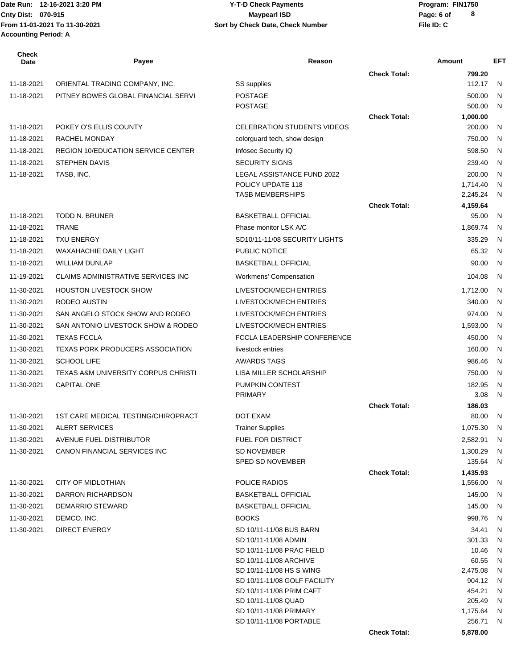Date Run: 12-16-2021 3:20 PM **Program:** FIN1750 **From 11-01-2021 To 11-30-2021 File ID: C Sort by Check Date, Check Number Accounting Period: A**

# **Cnty Dist:** 070-915 **Page: 6 of MaypearI ISD MaypearI ISD 12-16-2021 3:20 PM Y-T-D Check Payments 070-915 Maypearl ISD**

| <b>Check Total:</b><br>799.20<br>ORIENTAL TRADING COMPANY, INC.<br>SS supplies<br>112.17<br>11-18-2021<br>N<br>11-18-2021<br>PITNEY BOWES GLOBAL FINANCIAL SERVI<br><b>POSTAGE</b><br>500.00<br>N<br><b>POSTAGE</b><br>500.00<br>N<br>1,000.00<br><b>Check Total:</b><br>200.00<br>11-18-2021<br>POKEY O'S ELLIS COUNTY<br><b>CELEBRATION STUDENTS VIDEOS</b><br>N<br>750.00<br>11-18-2021<br>RACHEL MONDAY<br>N<br>colorguard tech, show design<br>11-18-2021<br><b>REGION 10/EDUCATION SERVICE CENTER</b><br>Infosec Security IQ<br>598.50<br>$\mathsf{N}$<br><b>SECURITY SIGNS</b><br>11-18-2021<br>STEPHEN DAVIS<br>239.40<br>N<br>LEGAL ASSISTANCE FUND 2022<br>200.00<br>11-18-2021<br>TASB, INC.<br>N<br>POLICY UPDATE 118<br>1,714.40<br>N<br><b>TASB MEMBERSHIPS</b><br>2,245.24<br>N<br><b>Check Total:</b><br>4,159.64<br>11-18-2021<br><b>TODD N. BRUNER</b><br><b>BASKETBALL OFFICIAL</b><br>95.00<br>N<br>11-18-2021<br><b>TRANE</b><br>Phase monitor LSK A/C<br>1,869.74<br>N.<br>335.29<br>11-18-2021<br><b>TXU ENERGY</b><br>SD10/11-11/08 SECURITY LIGHTS<br>$\mathsf{N}$<br>11-18-2021<br><b>WAXAHACHIE DAILY LIGHT</b><br>PUBLIC NOTICE<br>65.32<br>N<br>11-18-2021<br><b>WILLIAM DUNLAP</b><br><b>BASKETBALL OFFICIAL</b><br>90.00<br>$\mathsf{N}$<br>11-19-2021<br>CLAIMS ADMINISTRATIVE SERVICES INC<br>104.08<br><b>Workmens' Compensation</b><br>N<br>11-30-2021<br><b>HOUSTON LIVESTOCK SHOW</b><br>LIVESTOCK/MECH ENTRIES<br>1,712.00<br>N<br>11-30-2021<br>RODEO AUSTIN<br>LIVESTOCK/MECH ENTRIES<br>340.00<br>N<br>11-30-2021<br>SAN ANGELO STOCK SHOW AND RODEO<br>LIVESTOCK/MECH ENTRIES<br>974.00<br>$\mathsf{N}$<br>11-30-2021<br>SAN ANTONIO LIVESTOCK SHOW & RODEO<br>LIVESTOCK/MECH ENTRIES<br>1,593.00<br>N<br>11-30-2021<br><b>TEXAS FCCLA</b><br>FCCLA LEADERSHIP CONFERENCE<br>450.00<br>N<br>11-30-2021<br><b>TEXAS PORK PRODUCERS ASSOCIATION</b><br>livestock entries<br>160.00<br>$\mathsf{N}$<br><b>AWARDS TAGS</b><br>11-30-2021<br><b>SCHOOL LIFE</b><br>986.46<br>$\mathsf{N}$<br>11-30-2021<br><b>TEXAS A&amp;M UNIVERSITY CORPUS CHRISTI</b><br>LISA MILLER SCHOLARSHIP<br>750.00<br>N<br>11-30-2021<br><b>CAPITAL ONE</b><br>PUMPKIN CONTEST<br>182.95<br>N<br><b>PRIMARY</b><br>3.08<br>N<br><b>Check Total:</b><br>186.03<br>1ST CARE MEDICAL TESTING/CHIROPRACT<br>DOT EXAM<br>80.00<br>11-30-2021<br>N<br>11-30-2021<br>ALERT SERVICES<br><b>Trainer Supplies</b><br>1,075.30 N<br>11-30-2021<br>AVENUE FUEL DISTRIBUTOR<br><b>FUEL FOR DISTRICT</b><br>2,582.91 N<br>CANON FINANCIAL SERVICES INC<br><b>SD NOVEMBER</b><br>11-30-2021<br>1,300.29<br>N<br>135.64<br><b>SPED SD NOVEMBER</b><br>N<br><b>Check Total:</b><br>1,435.93<br>CITY OF MIDLOTHIAN<br>POLICE RADIOS<br>11-30-2021<br>1,556.00<br>-N<br>DARRON RICHARDSON<br>145.00<br>11-30-2021<br><b>BASKETBALL OFFICIAL</b><br>N.<br>145.00<br>11-30-2021<br>DEMARRIO STEWARD<br><b>BASKETBALL OFFICIAL</b><br>N<br>11-30-2021<br><b>BOOKS</b><br>998.76<br>DEMCO, INC.<br>N<br>11-30-2021<br><b>DIRECT ENERGY</b><br>34.41<br>SD 10/11-11/08 BUS BARN<br>N<br>SD 10/11-11/08 ADMIN<br>301.33<br>N<br>SD 10/11-11/08 PRAC FIELD<br>10.46<br>N<br>SD 10/11-11/08 ARCHIVE<br>60.55<br>N<br>SD 10/11-11/08 HS S WING<br>2,475.08<br>N<br>904.12<br>SD 10/11-11/08 GOLF FACILITY<br>N<br>SD 10/11-11/08 PRIM CAFT<br>454.21<br>N<br>SD 10/11-11/08 QUAD<br>205.49<br>N<br>SD 10/11-11/08 PRIMARY<br>1,175.64<br>N,<br>SD 10/11-11/08 PORTABLE<br>256.71<br>N,<br><b>Check Total:</b><br>5,878.00 | <b>Check</b><br>Date | Payee | Reason | Amount | <b>EFT</b> |
|----------------------------------------------------------------------------------------------------------------------------------------------------------------------------------------------------------------------------------------------------------------------------------------------------------------------------------------------------------------------------------------------------------------------------------------------------------------------------------------------------------------------------------------------------------------------------------------------------------------------------------------------------------------------------------------------------------------------------------------------------------------------------------------------------------------------------------------------------------------------------------------------------------------------------------------------------------------------------------------------------------------------------------------------------------------------------------------------------------------------------------------------------------------------------------------------------------------------------------------------------------------------------------------------------------------------------------------------------------------------------------------------------------------------------------------------------------------------------------------------------------------------------------------------------------------------------------------------------------------------------------------------------------------------------------------------------------------------------------------------------------------------------------------------------------------------------------------------------------------------------------------------------------------------------------------------------------------------------------------------------------------------------------------------------------------------------------------------------------------------------------------------------------------------------------------------------------------------------------------------------------------------------------------------------------------------------------------------------------------------------------------------------------------------------------------------------------------------------------------------------------------------------------------------------------------------------------------------------------------------------------------------------------------------------------------------------------------------------------------------------------------------------------------------------------------------------------------------------------------------------------------------------------------------------------------------------------------------------------------------------------------------------------------------------------------------------------------------------------------------------------------------------------------------------------------------------------------------------------------------------------------------------------------------------------------------------------------------------------------------------------------------------------------------------------------------------------------------------------------------------------------|----------------------|-------|--------|--------|------------|
|                                                                                                                                                                                                                                                                                                                                                                                                                                                                                                                                                                                                                                                                                                                                                                                                                                                                                                                                                                                                                                                                                                                                                                                                                                                                                                                                                                                                                                                                                                                                                                                                                                                                                                                                                                                                                                                                                                                                                                                                                                                                                                                                                                                                                                                                                                                                                                                                                                                                                                                                                                                                                                                                                                                                                                                                                                                                                                                                                                                                                                                                                                                                                                                                                                                                                                                                                                                                                                                                                                                |                      |       |        |        |            |
|                                                                                                                                                                                                                                                                                                                                                                                                                                                                                                                                                                                                                                                                                                                                                                                                                                                                                                                                                                                                                                                                                                                                                                                                                                                                                                                                                                                                                                                                                                                                                                                                                                                                                                                                                                                                                                                                                                                                                                                                                                                                                                                                                                                                                                                                                                                                                                                                                                                                                                                                                                                                                                                                                                                                                                                                                                                                                                                                                                                                                                                                                                                                                                                                                                                                                                                                                                                                                                                                                                                |                      |       |        |        |            |
|                                                                                                                                                                                                                                                                                                                                                                                                                                                                                                                                                                                                                                                                                                                                                                                                                                                                                                                                                                                                                                                                                                                                                                                                                                                                                                                                                                                                                                                                                                                                                                                                                                                                                                                                                                                                                                                                                                                                                                                                                                                                                                                                                                                                                                                                                                                                                                                                                                                                                                                                                                                                                                                                                                                                                                                                                                                                                                                                                                                                                                                                                                                                                                                                                                                                                                                                                                                                                                                                                                                |                      |       |        |        |            |
|                                                                                                                                                                                                                                                                                                                                                                                                                                                                                                                                                                                                                                                                                                                                                                                                                                                                                                                                                                                                                                                                                                                                                                                                                                                                                                                                                                                                                                                                                                                                                                                                                                                                                                                                                                                                                                                                                                                                                                                                                                                                                                                                                                                                                                                                                                                                                                                                                                                                                                                                                                                                                                                                                                                                                                                                                                                                                                                                                                                                                                                                                                                                                                                                                                                                                                                                                                                                                                                                                                                |                      |       |        |        |            |
|                                                                                                                                                                                                                                                                                                                                                                                                                                                                                                                                                                                                                                                                                                                                                                                                                                                                                                                                                                                                                                                                                                                                                                                                                                                                                                                                                                                                                                                                                                                                                                                                                                                                                                                                                                                                                                                                                                                                                                                                                                                                                                                                                                                                                                                                                                                                                                                                                                                                                                                                                                                                                                                                                                                                                                                                                                                                                                                                                                                                                                                                                                                                                                                                                                                                                                                                                                                                                                                                                                                |                      |       |        |        |            |
|                                                                                                                                                                                                                                                                                                                                                                                                                                                                                                                                                                                                                                                                                                                                                                                                                                                                                                                                                                                                                                                                                                                                                                                                                                                                                                                                                                                                                                                                                                                                                                                                                                                                                                                                                                                                                                                                                                                                                                                                                                                                                                                                                                                                                                                                                                                                                                                                                                                                                                                                                                                                                                                                                                                                                                                                                                                                                                                                                                                                                                                                                                                                                                                                                                                                                                                                                                                                                                                                                                                |                      |       |        |        |            |
|                                                                                                                                                                                                                                                                                                                                                                                                                                                                                                                                                                                                                                                                                                                                                                                                                                                                                                                                                                                                                                                                                                                                                                                                                                                                                                                                                                                                                                                                                                                                                                                                                                                                                                                                                                                                                                                                                                                                                                                                                                                                                                                                                                                                                                                                                                                                                                                                                                                                                                                                                                                                                                                                                                                                                                                                                                                                                                                                                                                                                                                                                                                                                                                                                                                                                                                                                                                                                                                                                                                |                      |       |        |        |            |
|                                                                                                                                                                                                                                                                                                                                                                                                                                                                                                                                                                                                                                                                                                                                                                                                                                                                                                                                                                                                                                                                                                                                                                                                                                                                                                                                                                                                                                                                                                                                                                                                                                                                                                                                                                                                                                                                                                                                                                                                                                                                                                                                                                                                                                                                                                                                                                                                                                                                                                                                                                                                                                                                                                                                                                                                                                                                                                                                                                                                                                                                                                                                                                                                                                                                                                                                                                                                                                                                                                                |                      |       |        |        |            |
|                                                                                                                                                                                                                                                                                                                                                                                                                                                                                                                                                                                                                                                                                                                                                                                                                                                                                                                                                                                                                                                                                                                                                                                                                                                                                                                                                                                                                                                                                                                                                                                                                                                                                                                                                                                                                                                                                                                                                                                                                                                                                                                                                                                                                                                                                                                                                                                                                                                                                                                                                                                                                                                                                                                                                                                                                                                                                                                                                                                                                                                                                                                                                                                                                                                                                                                                                                                                                                                                                                                |                      |       |        |        |            |
|                                                                                                                                                                                                                                                                                                                                                                                                                                                                                                                                                                                                                                                                                                                                                                                                                                                                                                                                                                                                                                                                                                                                                                                                                                                                                                                                                                                                                                                                                                                                                                                                                                                                                                                                                                                                                                                                                                                                                                                                                                                                                                                                                                                                                                                                                                                                                                                                                                                                                                                                                                                                                                                                                                                                                                                                                                                                                                                                                                                                                                                                                                                                                                                                                                                                                                                                                                                                                                                                                                                |                      |       |        |        |            |
|                                                                                                                                                                                                                                                                                                                                                                                                                                                                                                                                                                                                                                                                                                                                                                                                                                                                                                                                                                                                                                                                                                                                                                                                                                                                                                                                                                                                                                                                                                                                                                                                                                                                                                                                                                                                                                                                                                                                                                                                                                                                                                                                                                                                                                                                                                                                                                                                                                                                                                                                                                                                                                                                                                                                                                                                                                                                                                                                                                                                                                                                                                                                                                                                                                                                                                                                                                                                                                                                                                                |                      |       |        |        |            |
|                                                                                                                                                                                                                                                                                                                                                                                                                                                                                                                                                                                                                                                                                                                                                                                                                                                                                                                                                                                                                                                                                                                                                                                                                                                                                                                                                                                                                                                                                                                                                                                                                                                                                                                                                                                                                                                                                                                                                                                                                                                                                                                                                                                                                                                                                                                                                                                                                                                                                                                                                                                                                                                                                                                                                                                                                                                                                                                                                                                                                                                                                                                                                                                                                                                                                                                                                                                                                                                                                                                |                      |       |        |        |            |
|                                                                                                                                                                                                                                                                                                                                                                                                                                                                                                                                                                                                                                                                                                                                                                                                                                                                                                                                                                                                                                                                                                                                                                                                                                                                                                                                                                                                                                                                                                                                                                                                                                                                                                                                                                                                                                                                                                                                                                                                                                                                                                                                                                                                                                                                                                                                                                                                                                                                                                                                                                                                                                                                                                                                                                                                                                                                                                                                                                                                                                                                                                                                                                                                                                                                                                                                                                                                                                                                                                                |                      |       |        |        |            |
|                                                                                                                                                                                                                                                                                                                                                                                                                                                                                                                                                                                                                                                                                                                                                                                                                                                                                                                                                                                                                                                                                                                                                                                                                                                                                                                                                                                                                                                                                                                                                                                                                                                                                                                                                                                                                                                                                                                                                                                                                                                                                                                                                                                                                                                                                                                                                                                                                                                                                                                                                                                                                                                                                                                                                                                                                                                                                                                                                                                                                                                                                                                                                                                                                                                                                                                                                                                                                                                                                                                |                      |       |        |        |            |
|                                                                                                                                                                                                                                                                                                                                                                                                                                                                                                                                                                                                                                                                                                                                                                                                                                                                                                                                                                                                                                                                                                                                                                                                                                                                                                                                                                                                                                                                                                                                                                                                                                                                                                                                                                                                                                                                                                                                                                                                                                                                                                                                                                                                                                                                                                                                                                                                                                                                                                                                                                                                                                                                                                                                                                                                                                                                                                                                                                                                                                                                                                                                                                                                                                                                                                                                                                                                                                                                                                                |                      |       |        |        |            |
|                                                                                                                                                                                                                                                                                                                                                                                                                                                                                                                                                                                                                                                                                                                                                                                                                                                                                                                                                                                                                                                                                                                                                                                                                                                                                                                                                                                                                                                                                                                                                                                                                                                                                                                                                                                                                                                                                                                                                                                                                                                                                                                                                                                                                                                                                                                                                                                                                                                                                                                                                                                                                                                                                                                                                                                                                                                                                                                                                                                                                                                                                                                                                                                                                                                                                                                                                                                                                                                                                                                |                      |       |        |        |            |
|                                                                                                                                                                                                                                                                                                                                                                                                                                                                                                                                                                                                                                                                                                                                                                                                                                                                                                                                                                                                                                                                                                                                                                                                                                                                                                                                                                                                                                                                                                                                                                                                                                                                                                                                                                                                                                                                                                                                                                                                                                                                                                                                                                                                                                                                                                                                                                                                                                                                                                                                                                                                                                                                                                                                                                                                                                                                                                                                                                                                                                                                                                                                                                                                                                                                                                                                                                                                                                                                                                                |                      |       |        |        |            |
|                                                                                                                                                                                                                                                                                                                                                                                                                                                                                                                                                                                                                                                                                                                                                                                                                                                                                                                                                                                                                                                                                                                                                                                                                                                                                                                                                                                                                                                                                                                                                                                                                                                                                                                                                                                                                                                                                                                                                                                                                                                                                                                                                                                                                                                                                                                                                                                                                                                                                                                                                                                                                                                                                                                                                                                                                                                                                                                                                                                                                                                                                                                                                                                                                                                                                                                                                                                                                                                                                                                |                      |       |        |        |            |
|                                                                                                                                                                                                                                                                                                                                                                                                                                                                                                                                                                                                                                                                                                                                                                                                                                                                                                                                                                                                                                                                                                                                                                                                                                                                                                                                                                                                                                                                                                                                                                                                                                                                                                                                                                                                                                                                                                                                                                                                                                                                                                                                                                                                                                                                                                                                                                                                                                                                                                                                                                                                                                                                                                                                                                                                                                                                                                                                                                                                                                                                                                                                                                                                                                                                                                                                                                                                                                                                                                                |                      |       |        |        |            |
|                                                                                                                                                                                                                                                                                                                                                                                                                                                                                                                                                                                                                                                                                                                                                                                                                                                                                                                                                                                                                                                                                                                                                                                                                                                                                                                                                                                                                                                                                                                                                                                                                                                                                                                                                                                                                                                                                                                                                                                                                                                                                                                                                                                                                                                                                                                                                                                                                                                                                                                                                                                                                                                                                                                                                                                                                                                                                                                                                                                                                                                                                                                                                                                                                                                                                                                                                                                                                                                                                                                |                      |       |        |        |            |
|                                                                                                                                                                                                                                                                                                                                                                                                                                                                                                                                                                                                                                                                                                                                                                                                                                                                                                                                                                                                                                                                                                                                                                                                                                                                                                                                                                                                                                                                                                                                                                                                                                                                                                                                                                                                                                                                                                                                                                                                                                                                                                                                                                                                                                                                                                                                                                                                                                                                                                                                                                                                                                                                                                                                                                                                                                                                                                                                                                                                                                                                                                                                                                                                                                                                                                                                                                                                                                                                                                                |                      |       |        |        |            |
|                                                                                                                                                                                                                                                                                                                                                                                                                                                                                                                                                                                                                                                                                                                                                                                                                                                                                                                                                                                                                                                                                                                                                                                                                                                                                                                                                                                                                                                                                                                                                                                                                                                                                                                                                                                                                                                                                                                                                                                                                                                                                                                                                                                                                                                                                                                                                                                                                                                                                                                                                                                                                                                                                                                                                                                                                                                                                                                                                                                                                                                                                                                                                                                                                                                                                                                                                                                                                                                                                                                |                      |       |        |        |            |
|                                                                                                                                                                                                                                                                                                                                                                                                                                                                                                                                                                                                                                                                                                                                                                                                                                                                                                                                                                                                                                                                                                                                                                                                                                                                                                                                                                                                                                                                                                                                                                                                                                                                                                                                                                                                                                                                                                                                                                                                                                                                                                                                                                                                                                                                                                                                                                                                                                                                                                                                                                                                                                                                                                                                                                                                                                                                                                                                                                                                                                                                                                                                                                                                                                                                                                                                                                                                                                                                                                                |                      |       |        |        |            |
|                                                                                                                                                                                                                                                                                                                                                                                                                                                                                                                                                                                                                                                                                                                                                                                                                                                                                                                                                                                                                                                                                                                                                                                                                                                                                                                                                                                                                                                                                                                                                                                                                                                                                                                                                                                                                                                                                                                                                                                                                                                                                                                                                                                                                                                                                                                                                                                                                                                                                                                                                                                                                                                                                                                                                                                                                                                                                                                                                                                                                                                                                                                                                                                                                                                                                                                                                                                                                                                                                                                |                      |       |        |        |            |
|                                                                                                                                                                                                                                                                                                                                                                                                                                                                                                                                                                                                                                                                                                                                                                                                                                                                                                                                                                                                                                                                                                                                                                                                                                                                                                                                                                                                                                                                                                                                                                                                                                                                                                                                                                                                                                                                                                                                                                                                                                                                                                                                                                                                                                                                                                                                                                                                                                                                                                                                                                                                                                                                                                                                                                                                                                                                                                                                                                                                                                                                                                                                                                                                                                                                                                                                                                                                                                                                                                                |                      |       |        |        |            |
|                                                                                                                                                                                                                                                                                                                                                                                                                                                                                                                                                                                                                                                                                                                                                                                                                                                                                                                                                                                                                                                                                                                                                                                                                                                                                                                                                                                                                                                                                                                                                                                                                                                                                                                                                                                                                                                                                                                                                                                                                                                                                                                                                                                                                                                                                                                                                                                                                                                                                                                                                                                                                                                                                                                                                                                                                                                                                                                                                                                                                                                                                                                                                                                                                                                                                                                                                                                                                                                                                                                |                      |       |        |        |            |
|                                                                                                                                                                                                                                                                                                                                                                                                                                                                                                                                                                                                                                                                                                                                                                                                                                                                                                                                                                                                                                                                                                                                                                                                                                                                                                                                                                                                                                                                                                                                                                                                                                                                                                                                                                                                                                                                                                                                                                                                                                                                                                                                                                                                                                                                                                                                                                                                                                                                                                                                                                                                                                                                                                                                                                                                                                                                                                                                                                                                                                                                                                                                                                                                                                                                                                                                                                                                                                                                                                                |                      |       |        |        |            |
|                                                                                                                                                                                                                                                                                                                                                                                                                                                                                                                                                                                                                                                                                                                                                                                                                                                                                                                                                                                                                                                                                                                                                                                                                                                                                                                                                                                                                                                                                                                                                                                                                                                                                                                                                                                                                                                                                                                                                                                                                                                                                                                                                                                                                                                                                                                                                                                                                                                                                                                                                                                                                                                                                                                                                                                                                                                                                                                                                                                                                                                                                                                                                                                                                                                                                                                                                                                                                                                                                                                |                      |       |        |        |            |
|                                                                                                                                                                                                                                                                                                                                                                                                                                                                                                                                                                                                                                                                                                                                                                                                                                                                                                                                                                                                                                                                                                                                                                                                                                                                                                                                                                                                                                                                                                                                                                                                                                                                                                                                                                                                                                                                                                                                                                                                                                                                                                                                                                                                                                                                                                                                                                                                                                                                                                                                                                                                                                                                                                                                                                                                                                                                                                                                                                                                                                                                                                                                                                                                                                                                                                                                                                                                                                                                                                                |                      |       |        |        |            |
|                                                                                                                                                                                                                                                                                                                                                                                                                                                                                                                                                                                                                                                                                                                                                                                                                                                                                                                                                                                                                                                                                                                                                                                                                                                                                                                                                                                                                                                                                                                                                                                                                                                                                                                                                                                                                                                                                                                                                                                                                                                                                                                                                                                                                                                                                                                                                                                                                                                                                                                                                                                                                                                                                                                                                                                                                                                                                                                                                                                                                                                                                                                                                                                                                                                                                                                                                                                                                                                                                                                |                      |       |        |        |            |
|                                                                                                                                                                                                                                                                                                                                                                                                                                                                                                                                                                                                                                                                                                                                                                                                                                                                                                                                                                                                                                                                                                                                                                                                                                                                                                                                                                                                                                                                                                                                                                                                                                                                                                                                                                                                                                                                                                                                                                                                                                                                                                                                                                                                                                                                                                                                                                                                                                                                                                                                                                                                                                                                                                                                                                                                                                                                                                                                                                                                                                                                                                                                                                                                                                                                                                                                                                                                                                                                                                                |                      |       |        |        |            |
|                                                                                                                                                                                                                                                                                                                                                                                                                                                                                                                                                                                                                                                                                                                                                                                                                                                                                                                                                                                                                                                                                                                                                                                                                                                                                                                                                                                                                                                                                                                                                                                                                                                                                                                                                                                                                                                                                                                                                                                                                                                                                                                                                                                                                                                                                                                                                                                                                                                                                                                                                                                                                                                                                                                                                                                                                                                                                                                                                                                                                                                                                                                                                                                                                                                                                                                                                                                                                                                                                                                |                      |       |        |        |            |
|                                                                                                                                                                                                                                                                                                                                                                                                                                                                                                                                                                                                                                                                                                                                                                                                                                                                                                                                                                                                                                                                                                                                                                                                                                                                                                                                                                                                                                                                                                                                                                                                                                                                                                                                                                                                                                                                                                                                                                                                                                                                                                                                                                                                                                                                                                                                                                                                                                                                                                                                                                                                                                                                                                                                                                                                                                                                                                                                                                                                                                                                                                                                                                                                                                                                                                                                                                                                                                                                                                                |                      |       |        |        |            |
|                                                                                                                                                                                                                                                                                                                                                                                                                                                                                                                                                                                                                                                                                                                                                                                                                                                                                                                                                                                                                                                                                                                                                                                                                                                                                                                                                                                                                                                                                                                                                                                                                                                                                                                                                                                                                                                                                                                                                                                                                                                                                                                                                                                                                                                                                                                                                                                                                                                                                                                                                                                                                                                                                                                                                                                                                                                                                                                                                                                                                                                                                                                                                                                                                                                                                                                                                                                                                                                                                                                |                      |       |        |        |            |
|                                                                                                                                                                                                                                                                                                                                                                                                                                                                                                                                                                                                                                                                                                                                                                                                                                                                                                                                                                                                                                                                                                                                                                                                                                                                                                                                                                                                                                                                                                                                                                                                                                                                                                                                                                                                                                                                                                                                                                                                                                                                                                                                                                                                                                                                                                                                                                                                                                                                                                                                                                                                                                                                                                                                                                                                                                                                                                                                                                                                                                                                                                                                                                                                                                                                                                                                                                                                                                                                                                                |                      |       |        |        |            |
|                                                                                                                                                                                                                                                                                                                                                                                                                                                                                                                                                                                                                                                                                                                                                                                                                                                                                                                                                                                                                                                                                                                                                                                                                                                                                                                                                                                                                                                                                                                                                                                                                                                                                                                                                                                                                                                                                                                                                                                                                                                                                                                                                                                                                                                                                                                                                                                                                                                                                                                                                                                                                                                                                                                                                                                                                                                                                                                                                                                                                                                                                                                                                                                                                                                                                                                                                                                                                                                                                                                |                      |       |        |        |            |
|                                                                                                                                                                                                                                                                                                                                                                                                                                                                                                                                                                                                                                                                                                                                                                                                                                                                                                                                                                                                                                                                                                                                                                                                                                                                                                                                                                                                                                                                                                                                                                                                                                                                                                                                                                                                                                                                                                                                                                                                                                                                                                                                                                                                                                                                                                                                                                                                                                                                                                                                                                                                                                                                                                                                                                                                                                                                                                                                                                                                                                                                                                                                                                                                                                                                                                                                                                                                                                                                                                                |                      |       |        |        |            |
|                                                                                                                                                                                                                                                                                                                                                                                                                                                                                                                                                                                                                                                                                                                                                                                                                                                                                                                                                                                                                                                                                                                                                                                                                                                                                                                                                                                                                                                                                                                                                                                                                                                                                                                                                                                                                                                                                                                                                                                                                                                                                                                                                                                                                                                                                                                                                                                                                                                                                                                                                                                                                                                                                                                                                                                                                                                                                                                                                                                                                                                                                                                                                                                                                                                                                                                                                                                                                                                                                                                |                      |       |        |        |            |
|                                                                                                                                                                                                                                                                                                                                                                                                                                                                                                                                                                                                                                                                                                                                                                                                                                                                                                                                                                                                                                                                                                                                                                                                                                                                                                                                                                                                                                                                                                                                                                                                                                                                                                                                                                                                                                                                                                                                                                                                                                                                                                                                                                                                                                                                                                                                                                                                                                                                                                                                                                                                                                                                                                                                                                                                                                                                                                                                                                                                                                                                                                                                                                                                                                                                                                                                                                                                                                                                                                                |                      |       |        |        |            |
|                                                                                                                                                                                                                                                                                                                                                                                                                                                                                                                                                                                                                                                                                                                                                                                                                                                                                                                                                                                                                                                                                                                                                                                                                                                                                                                                                                                                                                                                                                                                                                                                                                                                                                                                                                                                                                                                                                                                                                                                                                                                                                                                                                                                                                                                                                                                                                                                                                                                                                                                                                                                                                                                                                                                                                                                                                                                                                                                                                                                                                                                                                                                                                                                                                                                                                                                                                                                                                                                                                                |                      |       |        |        |            |
|                                                                                                                                                                                                                                                                                                                                                                                                                                                                                                                                                                                                                                                                                                                                                                                                                                                                                                                                                                                                                                                                                                                                                                                                                                                                                                                                                                                                                                                                                                                                                                                                                                                                                                                                                                                                                                                                                                                                                                                                                                                                                                                                                                                                                                                                                                                                                                                                                                                                                                                                                                                                                                                                                                                                                                                                                                                                                                                                                                                                                                                                                                                                                                                                                                                                                                                                                                                                                                                                                                                |                      |       |        |        |            |
|                                                                                                                                                                                                                                                                                                                                                                                                                                                                                                                                                                                                                                                                                                                                                                                                                                                                                                                                                                                                                                                                                                                                                                                                                                                                                                                                                                                                                                                                                                                                                                                                                                                                                                                                                                                                                                                                                                                                                                                                                                                                                                                                                                                                                                                                                                                                                                                                                                                                                                                                                                                                                                                                                                                                                                                                                                                                                                                                                                                                                                                                                                                                                                                                                                                                                                                                                                                                                                                                                                                |                      |       |        |        |            |
|                                                                                                                                                                                                                                                                                                                                                                                                                                                                                                                                                                                                                                                                                                                                                                                                                                                                                                                                                                                                                                                                                                                                                                                                                                                                                                                                                                                                                                                                                                                                                                                                                                                                                                                                                                                                                                                                                                                                                                                                                                                                                                                                                                                                                                                                                                                                                                                                                                                                                                                                                                                                                                                                                                                                                                                                                                                                                                                                                                                                                                                                                                                                                                                                                                                                                                                                                                                                                                                                                                                |                      |       |        |        |            |
|                                                                                                                                                                                                                                                                                                                                                                                                                                                                                                                                                                                                                                                                                                                                                                                                                                                                                                                                                                                                                                                                                                                                                                                                                                                                                                                                                                                                                                                                                                                                                                                                                                                                                                                                                                                                                                                                                                                                                                                                                                                                                                                                                                                                                                                                                                                                                                                                                                                                                                                                                                                                                                                                                                                                                                                                                                                                                                                                                                                                                                                                                                                                                                                                                                                                                                                                                                                                                                                                                                                |                      |       |        |        |            |
|                                                                                                                                                                                                                                                                                                                                                                                                                                                                                                                                                                                                                                                                                                                                                                                                                                                                                                                                                                                                                                                                                                                                                                                                                                                                                                                                                                                                                                                                                                                                                                                                                                                                                                                                                                                                                                                                                                                                                                                                                                                                                                                                                                                                                                                                                                                                                                                                                                                                                                                                                                                                                                                                                                                                                                                                                                                                                                                                                                                                                                                                                                                                                                                                                                                                                                                                                                                                                                                                                                                |                      |       |        |        |            |
|                                                                                                                                                                                                                                                                                                                                                                                                                                                                                                                                                                                                                                                                                                                                                                                                                                                                                                                                                                                                                                                                                                                                                                                                                                                                                                                                                                                                                                                                                                                                                                                                                                                                                                                                                                                                                                                                                                                                                                                                                                                                                                                                                                                                                                                                                                                                                                                                                                                                                                                                                                                                                                                                                                                                                                                                                                                                                                                                                                                                                                                                                                                                                                                                                                                                                                                                                                                                                                                                                                                |                      |       |        |        |            |
|                                                                                                                                                                                                                                                                                                                                                                                                                                                                                                                                                                                                                                                                                                                                                                                                                                                                                                                                                                                                                                                                                                                                                                                                                                                                                                                                                                                                                                                                                                                                                                                                                                                                                                                                                                                                                                                                                                                                                                                                                                                                                                                                                                                                                                                                                                                                                                                                                                                                                                                                                                                                                                                                                                                                                                                                                                                                                                                                                                                                                                                                                                                                                                                                                                                                                                                                                                                                                                                                                                                |                      |       |        |        |            |
|                                                                                                                                                                                                                                                                                                                                                                                                                                                                                                                                                                                                                                                                                                                                                                                                                                                                                                                                                                                                                                                                                                                                                                                                                                                                                                                                                                                                                                                                                                                                                                                                                                                                                                                                                                                                                                                                                                                                                                                                                                                                                                                                                                                                                                                                                                                                                                                                                                                                                                                                                                                                                                                                                                                                                                                                                                                                                                                                                                                                                                                                                                                                                                                                                                                                                                                                                                                                                                                                                                                |                      |       |        |        |            |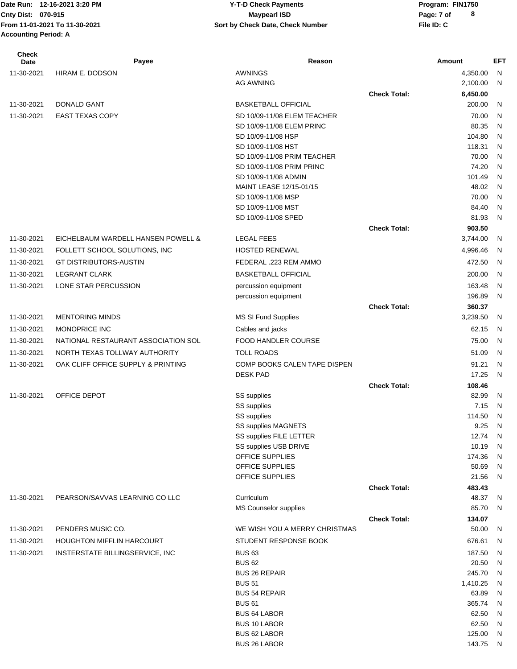### Date Run: 12-16-2021 3:20 PM **Program:** FIN1750 **Cnty Dist:** 070-915 **Page: 7 of Page: 7 of MaypearI ISD 12-16-2021 3:20 PM Y-T-D Check Payments 070-915 Maypearl ISD**

| <b>Check</b><br><b>Date</b> | Payee                               | Reason                                        |                     | Amount            | EFT     |
|-----------------------------|-------------------------------------|-----------------------------------------------|---------------------|-------------------|---------|
| 11-30-2021                  | HIRAM E. DODSON                     | <b>AWNINGS</b>                                |                     | 4,350.00          | N       |
|                             |                                     | <b>AG AWNING</b>                              |                     | 2,100.00          | N       |
|                             |                                     |                                               | <b>Check Total:</b> | 6,450.00          |         |
| 11-30-2021                  | <b>DONALD GANT</b>                  | <b>BASKETBALL OFFICIAL</b>                    |                     | 200.00            | N       |
| 11-30-2021                  | <b>EAST TEXAS COPY</b>              | SD 10/09-11/08 ELEM TEACHER                   |                     | 70.00             | N       |
|                             |                                     | SD 10/09-11/08 ELEM PRINC                     |                     | 80.35             | N       |
|                             |                                     | SD 10/09-11/08 HSP                            |                     | 104.80            | N       |
|                             |                                     | SD 10/09-11/08 HST                            |                     | 118.31            | N       |
|                             |                                     | SD 10/09-11/08 PRIM TEACHER                   |                     | 70.00             | N       |
|                             |                                     | SD 10/09-11/08 PRIM PRINC                     |                     | 74.20             | N       |
|                             |                                     | SD 10/09-11/08 ADMIN                          |                     | 101.49<br>48.02   | N       |
|                             |                                     | MAINT LEASE 12/15-01/15<br>SD 10/09-11/08 MSP |                     | 70.00             | N,<br>N |
|                             |                                     | SD 10/09-11/08 MST                            |                     | 84.40             | N       |
|                             |                                     | SD 10/09-11/08 SPED                           |                     | 81.93             | N       |
|                             |                                     |                                               | <b>Check Total:</b> | 903.50            |         |
| 11-30-2021                  | EICHELBAUM WARDELL HANSEN POWELL &  | <b>LEGAL FEES</b>                             |                     | 3,744.00          | - N     |
| 11-30-2021                  | FOLLETT SCHOOL SOLUTIONS, INC       | <b>HOSTED RENEWAL</b>                         |                     | 4,996.46          | N       |
| 11-30-2021                  | <b>GT DISTRIBUTORS-AUSTIN</b>       | FEDERAL .223 REM AMMO                         |                     | 472.50            | - N     |
| 11-30-2021                  | <b>LEGRANT CLARK</b>                |                                               |                     |                   |         |
|                             |                                     | <b>BASKETBALL OFFICIAL</b>                    |                     | 200.00            | N       |
| 11-30-2021                  | LONE STAR PERCUSSION                | percussion equipment                          |                     | 163.48<br>196.89  | N<br>N. |
|                             |                                     | percussion equipment                          | <b>Check Total:</b> | 360.37            |         |
| 11-30-2021                  | <b>MENTORING MINDS</b>              | MS SI Fund Supplies                           |                     | 3,239.50          | -N      |
| 11-30-2021                  | MONOPRICE INC                       |                                               |                     | 62.15             | N       |
|                             |                                     | Cables and jacks                              |                     |                   |         |
| 11-30-2021                  | NATIONAL RESTAURANT ASSOCIATION SOL | <b>FOOD HANDLER COURSE</b>                    |                     | 75.00             | N       |
| 11-30-2021                  | NORTH TEXAS TOLLWAY AUTHORITY       | <b>TOLL ROADS</b>                             |                     | 51.09             | N       |
| 11-30-2021                  | OAK CLIFF OFFICE SUPPLY & PRINTING  | COMP BOOKS CALEN TAPE DISPEN                  |                     | 91.21             | N       |
|                             |                                     | <b>DESK PAD</b>                               |                     | 17.25             | N       |
|                             |                                     |                                               | <b>Check Total:</b> | 108.46            |         |
| 11-30-2021                  | OFFICE DEPOT                        | SS supplies<br>SS supplies                    |                     | 82.99<br>7.15     | N<br>N  |
|                             |                                     | SS supplies                                   |                     | 114.50            | N       |
|                             |                                     | <b>SS supplies MAGNETS</b>                    |                     | 9.25              | N       |
|                             |                                     | SS supplies FILE LETTER                       |                     | 12.74             | - N     |
|                             |                                     | SS supplies USB DRIVE                         |                     | 10.19             | N       |
|                             |                                     | OFFICE SUPPLIES                               |                     | 174.36            | N       |
|                             |                                     | OFFICE SUPPLIES                               |                     | 50.69             | N       |
|                             |                                     | OFFICE SUPPLIES                               |                     | 21.56             | N       |
|                             |                                     |                                               | <b>Check Total:</b> | 483.43            |         |
| 11-30-2021                  | PEARSON/SAVVAS LEARNING CO LLC      | Curriculum                                    |                     | 48.37             | - N     |
|                             |                                     | MS Counselor supplies                         |                     | 85.70             | - N     |
|                             |                                     |                                               | <b>Check Total:</b> | 134.07            |         |
| 11-30-2021                  | PENDERS MUSIC CO.                   | WE WISH YOU A MERRY CHRISTMAS                 |                     | 50.00             | - N     |
| 11-30-2021                  | <b>HOUGHTON MIFFLIN HARCOURT</b>    | STUDENT RESPONSE BOOK                         |                     | 676.61            | N       |
| 11-30-2021                  | INSTERSTATE BILLINGSERVICE, INC     | <b>BUS 63</b>                                 |                     | 187.50            | N,      |
|                             |                                     | <b>BUS 62</b>                                 |                     | 20.50             | N       |
|                             |                                     | <b>BUS 26 REPAIR</b>                          |                     | 245.70            | N       |
|                             |                                     | <b>BUS 51</b><br><b>BUS 54 REPAIR</b>         |                     | 1,410.25<br>63.89 | N<br>N  |
|                             |                                     | <b>BUS 61</b>                                 |                     | 365.74            | N       |
|                             |                                     | <b>BUS 64 LABOR</b>                           |                     | 62.50             | N       |
|                             |                                     | <b>BUS 10 LABOR</b>                           |                     | 62.50             | N       |
|                             |                                     | <b>BUS 62 LABOR</b>                           |                     | 125.00            | N       |
|                             |                                     | BUS 26 LABOR                                  |                     | 143.75            | N       |